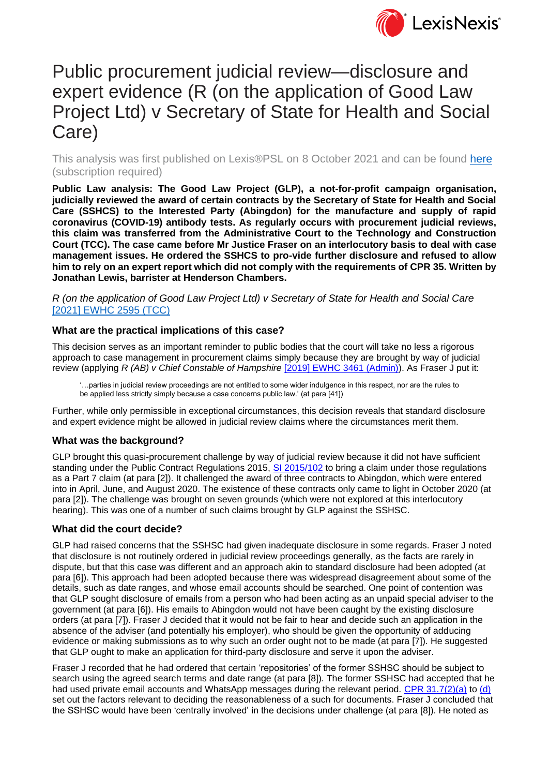

# Public procurement judicial review—disclosure and expert evidence (R (on the application of Good Law Project Ltd) v Secretary of State for Health and Social Care)

This analysis was first published on Lexis®PSL on 8 October 2021 and can be found [here](https://www.lexisnexis.com/uk/lexispsl/commercial/document/412012/63T2-MPP3-GXF6-80GX-00000-00/) (subscription required)

**Public Law analysis: The Good Law Project (GLP), a not-for-profit campaign organisation, judicially reviewed the award of certain contracts by the Secretary of State for Health and Social Care (SSHCS) to the Interested Party (Abingdon) for the manufacture and supply of rapid coronavirus (COVID-19) antibody tests. As regularly occurs with procurement judicial reviews, this claim was transferred from the Administrative Court to the Technology and Construction Court (TCC). The case came before Mr Justice Fraser on an interlocutory basis to deal with case management issues. He ordered the SSHCS to pro-vide further disclosure and refused to allow him to rely on an expert report which did not comply with the requirements of CPR 35. Written by Jonathan Lewis, barrister at Henderson Chambers.**

*R (on the application of Good Law Project Ltd) v Secretary of State for Health and Social Care*  [\[2021\] EWHC 2595 \(TCC\)](https://www.lexisnexis.com/uk/lexispsl/commercial/document/316762/63RB-K6F3-GXF6-81N4-00000-00/R-%28on-the-application-of-Good-Law-Project-Ltd%29-v-Secretary-of-State-for-Health-and-Social-Care)

### **What are the practical implications of this case?**

This decision serves as an important reminder to public bodies that the court will take no less a rigorous approach to case management in procurement claims simply because they are brought by way of judicial review (applying *R (AB) v Chief Constable of Hampshire* [\[2019\] EWHC 3461 \(Admin\)\)](https://www.lexisnexis.com/uk/lexispsl/commercial/citationlinkHandler.faces?bct=A&service=citation&risb=&EWHCADMIN&$sel1!%252019%25$year!%252019%25$page!%253461%25). As Fraser J put it:

'…parties in judicial review proceedings are not entitled to some wider indulgence in this respect, nor are the rules to be applied less strictly simply because a case concerns public law.' (at para [41])

Further, while only permissible in exceptional circumstances, this decision reveals that standard disclosure and expert evidence might be allowed in judicial review claims where the circumstances merit them.

#### **What was the background?**

GLP brought this quasi-procurement challenge by way of judicial review because it did not have sufficient standing under the Public Contract Regulations 2015, [SI 2015/102](https://www.lexisnexis.com/uk/lexispsl/commercial/citationlinkHandler.faces?bct=A&service=citation&risb=&UK_LEG&$num!%252015_102s_Title%25) to bring a claim under those regulations as a Part 7 claim (at para [2]). It challenged the award of three contracts to Abingdon, which were entered into in April, June, and August 2020. The existence of these contracts only came to light in October 2020 (at para [2]). The challenge was brought on seven grounds (which were not explored at this interlocutory hearing). This was one of a number of such claims brought by GLP against the SSHSC.

#### **What did the court decide?**

GLP had raised concerns that the SSHSC had given inadequate disclosure in some regards. Fraser J noted that disclosure is not routinely ordered in judicial review proceedings generally, as the facts are rarely in dispute, but that this case was different and an approach akin to standard disclosure had been adopted (at para [6]). This approach had been adopted because there was widespread disagreement about some of the details, such as date ranges, and whose email accounts should be searched. One point of contention was that GLP sought disclosure of emails from a person who had been acting as an unpaid special adviser to the government (at para [6]). His emails to Abingdon would not have been caught by the existing disclosure orders (at para [7]). Fraser J decided that it would not be fair to hear and decide such an application in the absence of the adviser (and potentially his employer), who should be given the opportunity of adducing evidence or making submissions as to why such an order ought not to be made (at para [7]). He suggested that GLP ought to make an application for third-party disclosure and serve it upon the adviser.

Fraser J recorded that he had ordered that certain 'repositories' of the former SSHSC should be subject to search using the agreed search terms and date range (at para [8]). The former SSHSC had accepted that he had used private email accounts and WhatsApp messages during the relevant period. [CPR 31.7\(2\)\(a\)](https://www.lexisnexis.com/uk/lexispsl/commercial/linkHandler.faces?ps=null&bct=A&homeCsi=412012&A=0.5626846845624527&urlEnc=ISO-8859-1&&dpsi=07UD&remotekey1=REFPTID&refpt=07UD_1_KHCPR:HT-SOURCE_31.7:HT-PARA_2:HT-SUBPARA_a:HT-SUBSUBPARA&service=DOC-ID&origdpsi=0S4D) to [\(d\)](https://www.lexisnexis.com/uk/lexispsl/commercial/linkHandler.faces?ps=null&bct=A&homeCsi=412012&A=0.5626846845624527&urlEnc=ISO-8859-1&&dpsi=07UD&remotekey1=REFPTID&refpt=07UD_1_KHCPR:HT-SOURCE_31.7:HT-PARA_2:HT-SUBPARA_d:HT-SUBSUBPARA&service=DOC-ID&origdpsi=0S4D) set out the factors relevant to deciding the reasonableness of a such for documents. Fraser J concluded that the SSHSC would have been 'centrally involved' in the decisions under challenge (at para [8]). He noted as